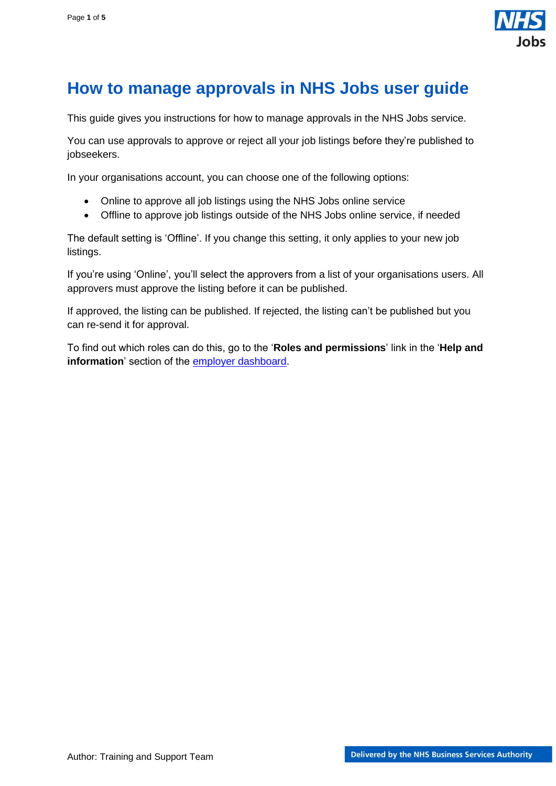

## <span id="page-0-0"></span>**How to manage approvals in NHS Jobs user guide**

This guide gives you instructions for how to manage approvals in the NHS Jobs service.

You can use approvals to approve or reject all your job listings before they're published to jobseekers.

In your organisations account, you can choose one of the following options:

- Online to approve all job listings using the NHS Jobs online service
- Offline to approve job listings outside of the NHS Jobs online service, if needed

The default setting is 'Offline'. If you change this setting, it only applies to your new job listings.

If you're using 'Online', you'll select the approvers from a list of your organisations users. All approvers must approve the listing before it can be published.

If approved, the listing can be published. If rejected, the listing can't be published but you can re-send it for approval.

To find out which roles can do this, go to the '**Roles and permissions**' link in the '**Help and information**' section of the [employer dashboard.](https://beta.jobs.nhs.uk/home)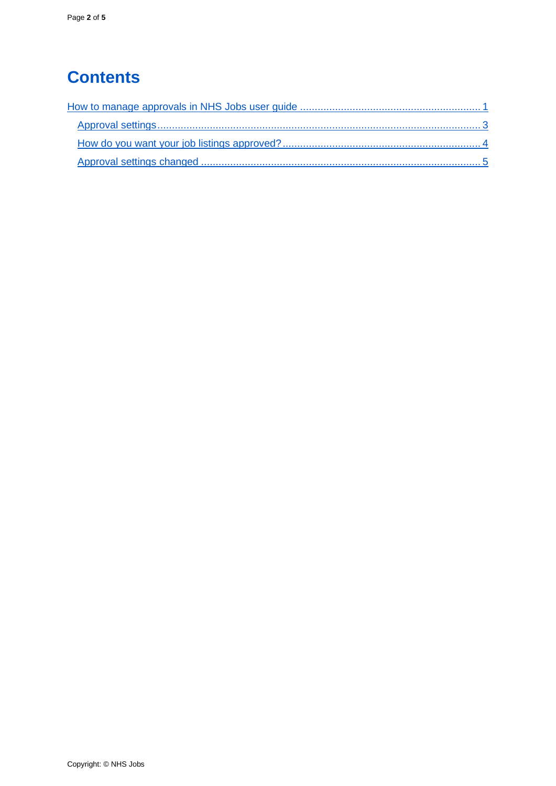# **Contents**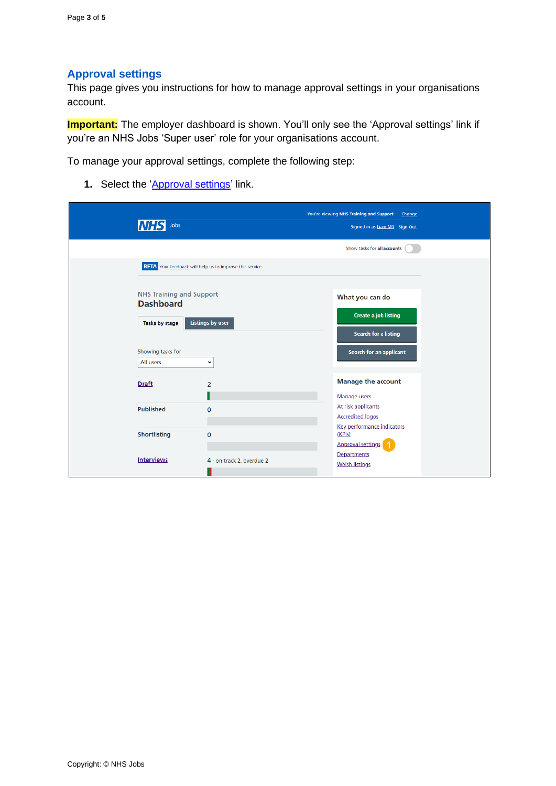#### <span id="page-2-0"></span>**Approval settings**

This page gives you instructions for how to manage approval settings in your organisations account.

**Important:** The employer dashboard is shown. You'll only see the 'Approval settings' link if you're an NHS Jobs 'Super user' role for your organisations account.

To manage your approval settings, complete the following step:

**1.** Select the '**Approval settings'** link.

| Jobs<br><b>INHSI</b>                                |                                                                 | You're viewing NHS Training and Support<br>Change<br>Signed in as Liam M1 Sign Out |  |
|-----------------------------------------------------|-----------------------------------------------------------------|------------------------------------------------------------------------------------|--|
|                                                     |                                                                 | Show tasks for all accounts                                                        |  |
|                                                     | <b>BETA</b> Your feedback will help us to improve this service. |                                                                                    |  |
| <b>NHS Training and Support</b><br><b>Dashboard</b> |                                                                 | What you can do                                                                    |  |
| Tasks by stage                                      | <b>Listings by user</b>                                         | <b>Create a job listing</b><br><b>Search for a listing</b>                         |  |
| Showing tasks for<br>All users                      | $\checkmark$                                                    | Search for an applicant                                                            |  |
| <b>Draft</b>                                        | 2                                                               | <b>Manage the account</b><br>Manage users                                          |  |
| <b>Published</b>                                    | $\mathbf 0$                                                     | At risk applicants<br><b>Accredited logos</b>                                      |  |
| <b>Shortlisting</b>                                 | $\Omega$                                                        | Key performance indicators<br>(KPIs)<br><b>Approval settings</b>                   |  |
| <b>Interviews</b>                                   | 4 - on track 2, overdue 2                                       | Departments<br><b>Welsh listings</b>                                               |  |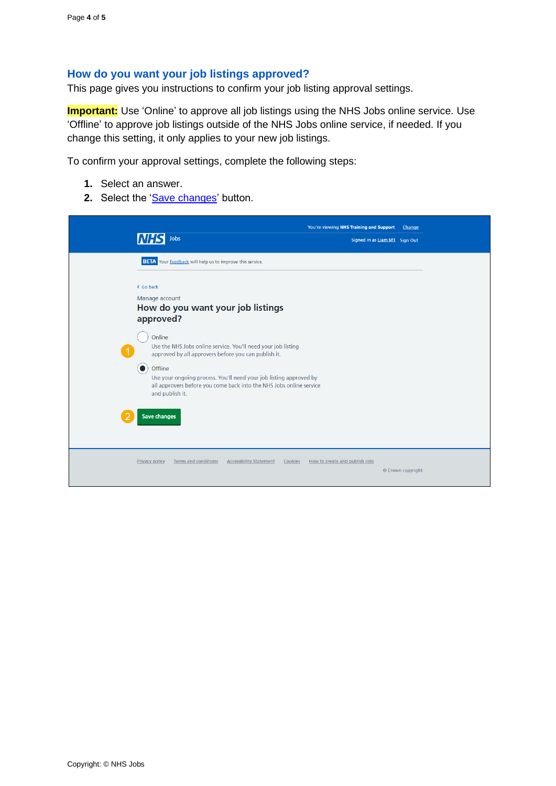#### <span id="page-3-0"></span>**How do you want your job listings approved?**

This page gives you instructions to confirm your job listing approval settings.

**Important:** Use 'Online' to approve all job listings using the NHS Jobs online service. Use 'Offline' to approve job listings outside of the NHS Jobs online service, if needed. If you change this setting, it only applies to your new job listings.

To confirm your approval settings, complete the following steps:

- **1.** Select an answer.
- 2. Select the ['Save changes'](#page-4-0) button.

| <b>INHS</b><br>Jobs                                                                                                                                                                                                                                                                                        | You're viewing NHS Training and Support<br>Change<br>Signed in as Liam M1 Sign Out |
|------------------------------------------------------------------------------------------------------------------------------------------------------------------------------------------------------------------------------------------------------------------------------------------------------------|------------------------------------------------------------------------------------|
| <b>BETA</b> Your feedback will help us to improve this service.                                                                                                                                                                                                                                            |                                                                                    |
| < Go back<br>Manage account<br>How do you want your job listings<br>approved?                                                                                                                                                                                                                              |                                                                                    |
| Online<br>Use the NHS Jobs online service. You'll need your job listing<br>approved by all approvers before you can publish it.<br>Offline<br>Use your ongoing process. You'll need your job listing approved by<br>all approvers before you come back into the NHS Jobs online service<br>and publish it. |                                                                                    |
| <b>Save changes</b><br><b>Terms and conditions</b><br><b>Accessibility Statement</b><br>Cookies<br><b>Privacy policy</b>                                                                                                                                                                                   | How to create and publish jobs<br>© Crown copyright                                |